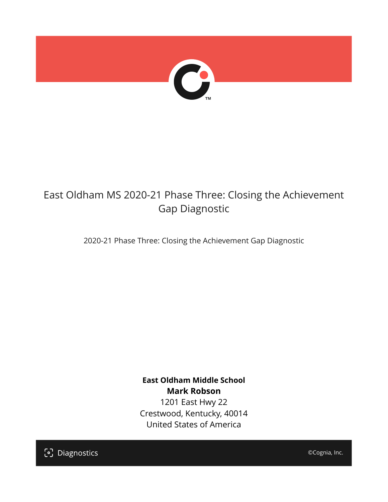

## East Oldham MS 2020-21 Phase Three: Closing the Achievement Gap Diagnostic

2020-21 Phase Three: Closing the Achievement Gap Diagnostic

**East Oldham Middle School Mark Robson** 1201 East Hwy 22 Crestwood, Kentucky, 40014 United States of America

[၁] Diagnostics

©Cognia, Inc.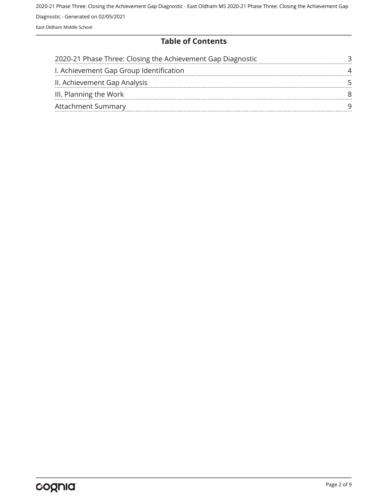#### **Table of Contents**

| 2020-21 Phase Three: Closing the Achievement Gap Diagnostic |  |
|-------------------------------------------------------------|--|
| I. Achievement Gap Group Identification                     |  |
| II. Achievement Gap Analysis                                |  |
| III. Planning the Work                                      |  |
| <b>Attachment Summary</b>                                   |  |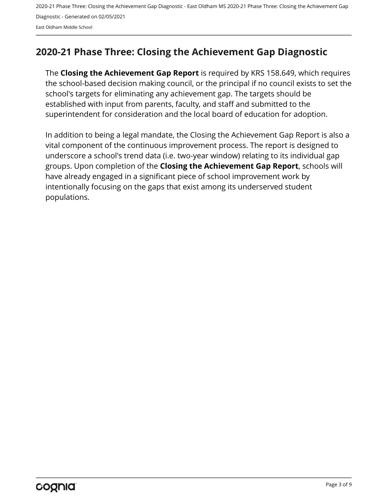## <span id="page-2-0"></span>**2020-21 Phase Three: Closing the Achievement Gap Diagnostic**

The **Closing the Achievement Gap Report** is required by KRS 158.649, which requires the school-based decision making council, or the principal if no council exists to set the school's targets for eliminating any achievement gap. The targets should be established with input from parents, faculty, and staff and submitted to the superintendent for consideration and the local board of education for adoption.

In addition to being a legal mandate, the Closing the Achievement Gap Report is also a vital component of the continuous improvement process. The report is designed to underscore a school's trend data (i.e. two-year window) relating to its individual gap groups. Upon completion of the **Closing the Achievement Gap Report**, schools will have already engaged in a significant piece of school improvement work by intentionally focusing on the gaps that exist among its underserved student populations.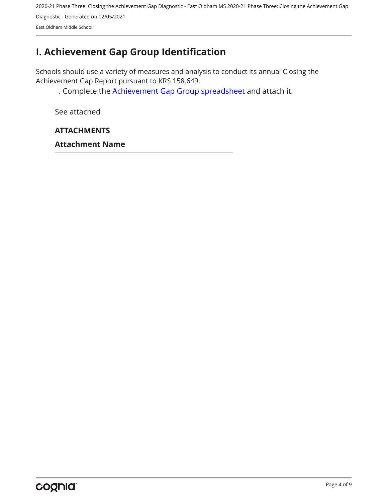## <span id="page-3-0"></span>**I. Achievement Gap Group Identification**

Schools should use a variety of measures and analysis to conduct its annual Closing the Achievement Gap Report pursuant to KRS 158.649.

. Complete the [Achievement Gap Group spreadsheet a](https://drive.google.com/file/d/0B7A6n8V1dmUOWFNKY2dSTTFibjA/view?usp=sharing)nd attach it.

See attached

#### **ATTACHMENTS**

**Attachment Name**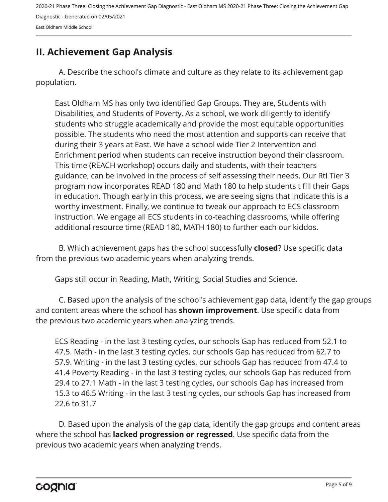## <span id="page-4-0"></span>**II. Achievement Gap Analysis**

A. Describe the school's climate and culture as they relate to its achievement gap population.

East Oldham MS has only two identified Gap Groups. They are, Students with Disabilities, and Students of Poverty. As a school, we work diligently to identify students who struggle academically and provide the most equitable opportunities possible. The students who need the most attention and supports can receive that during their 3 years at East. We have a school wide Tier 2 Intervention and Enrichment period when students can receive instruction beyond their classroom. This time (REACH workshop) occurs daily and students, with their teachers guidance, can be involved in the process of self assessing their needs. Our RtI Tier 3 program now incorporates READ 180 and Math 180 to help students t fill their Gaps in education. Though early in this process, we are seeing signs that indicate this is a worthy investment. Finally, we continue to tweak our approach to ECS classroom instruction. We engage all ECS students in co-teaching classrooms, while offering additional resource time (READ 180, MATH 180) to further each our kiddos.

B. Which achievement gaps has the school successfully **closed**? Use specific data from the previous two academic years when analyzing trends.

Gaps still occur in Reading, Math, Writing, Social Studies and Science.

C. Based upon the analysis of the school's achievement gap data, identify the gap groups and content areas where the school has **shown improvement**. Use specific data from the previous two academic years when analyzing trends.

ECS Reading - in the last 3 testing cycles, our schools Gap has reduced from 52.1 to 47.5. Math - in the last 3 testing cycles, our schools Gap has reduced from 62.7 to 57.9. Writing - in the last 3 testing cycles, our schools Gap has reduced from 47.4 to 41.4 Poverty Reading - in the last 3 testing cycles, our schools Gap has reduced from 29.4 to 27.1 Math - in the last 3 testing cycles, our schools Gap has increased from 15.3 to 46.5 Writing - in the last 3 testing cycles, our schools Gap has increased from 22.6 to 31.7

D. Based upon the analysis of the gap data, identify the gap groups and content areas where the school has **lacked progression or regressed**. Use specific data from the previous two academic years when analyzing trends.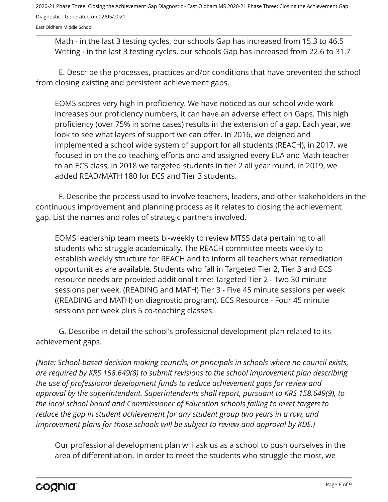East Oldham Middle School

Math - in the last 3 testing cycles, our schools Gap has increased from 15.3 to 46.5 Writing - in the last 3 testing cycles, our schools Gap has increased from 22.6 to 31.7

E. Describe the processes, practices and/or conditions that have prevented the school from closing existing and persistent achievement gaps.

EOMS scores very high in proficiency. We have noticed as our school wide work increases our proficiency numbers, it can have an adverse effect on Gaps. This high proficiency (over 75% in some cases) results in the extension of a gap. Each year, we look to see what layers of support we can offer. In 2016, we deigned and implemented a school wide system of support for all students (REACH), in 2017, we focused in on the co-teaching efforts and and assigned every ELA and Math teacher to an ECS class, in 2018 we targeted students in tier 2 all year round, in 2019, we added READ/MATH 180 for ECS and Tier 3 students.

F. Describe the process used to involve teachers, leaders, and other stakeholders in the continuous improvement and planning process as it relates to closing the achievement gap. List the names and roles of strategic partners involved.

EOMS leadership team meets bi-weekly to review MTSS data pertaining to all students who struggle academically. The REACH committee meets weekly to establish weekly structure for REACH and to inform all teachers what remediation opportunities are available. Students who fall in Targeted Tier 2, Tier 3 and ECS resource needs are provided additional time: Targeted Tier 2 - Two 30 minute sessions per week. (READING and MATH) Tier 3 - Five 45 minute sessions per week ((READING and MATH) on diagnostic program). ECS Resource - Four 45 minute sessions per week plus 5 co-teaching classes.

G. Describe in detail the school's professional development plan related to its achievement gaps.

*(Note: School-based decision making councils, or principals in schools where no council exists, are required by KRS 158.649(8) to submit revisions to the school improvement plan describing the use of professional development funds to reduce achievement gaps for review and approval by the superintendent. Superintendents shall report, pursuant to KRS 158.649(9), to the local school board and Commissioner of Education schools failing to meet targets to reduce the gap in student achievement for any student group two years in a row, and improvement plans for those schools will be subject to review and approval by KDE.)* 

Our professional development plan will ask us as a school to push ourselves in the area of differentiation. In order to meet the students who struggle the most, we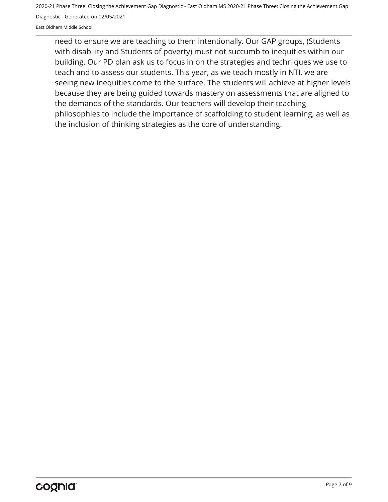East Oldham Middle School

need to ensure we are teaching to them intentionally. Our GAP groups, (Students with disability and Students of poverty) must not succumb to inequities within our building. Our PD plan ask us to focus in on the strategies and techniques we use to teach and to assess our students. This year, as we teach mostly in NTI, we are seeing new inequities come to the surface. The students will achieve at higher levels because they are being guided towards mastery on assessments that are aligned to the demands of the standards. Our teachers will develop their teaching philosophies to include the importance of scaffolding to student learning, as well as the inclusion of thinking strategies as the core of understanding.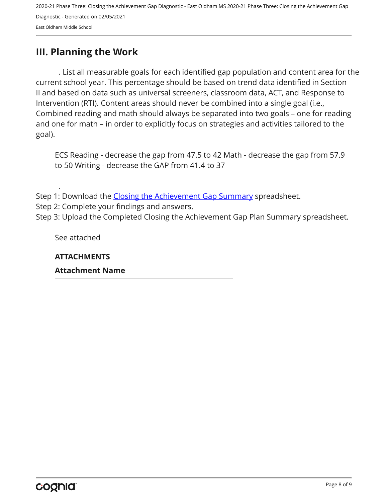## <span id="page-7-0"></span>**III. Planning the Work**

. List all measurable goals for each identified gap population and content area for the current school year. This percentage should be based on trend data identified in Section II and based on data such as universal screeners, classroom data, ACT, and Response to Intervention (RTI). Content areas should never be combined into a single goal (i.e., Combined reading and math should always be separated into two goals – one for reading and one for math – in order to explicitly focus on strategies and activities tailored to the goal).

ECS Reading - decrease the gap from 47.5 to 42 Math - decrease the gap from 57.9 to 50 Writing - decrease the GAP from 41.4 to 37

Step 1: Download the [Closing the Achievement Gap Summary](https://drive.google.com/file/d/0B6i22i6omk4ySmUtTHZuSVRFazQ/view) spreadsheet.

Step 2: Complete your findings and answers.

Step 3: Upload the Completed Closing the Achievement Gap Plan Summary spreadsheet.

See attached

.

**ATTACHMENTS**

**Attachment Name**